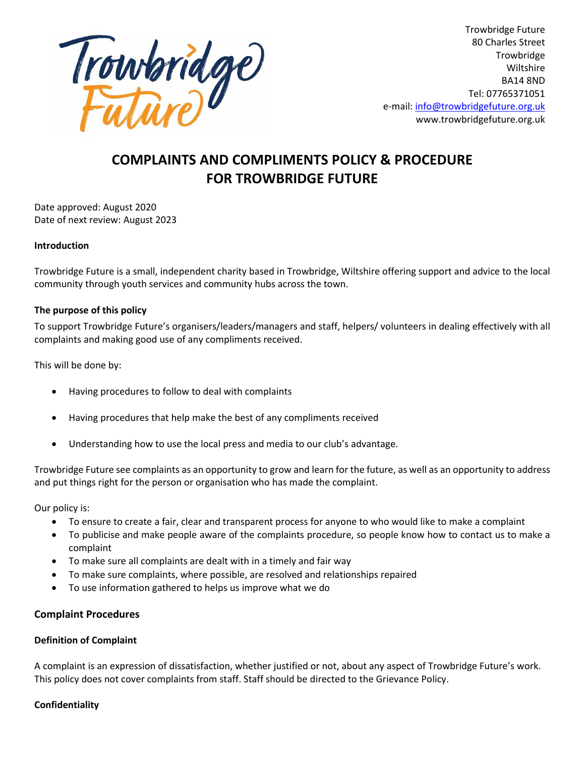

## **COMPLAINTS AND COMPLIMENTS POLICY & PROCEDURE FOR TROWBRIDGE FUTURE**

Date approved: August 2020 Date of next review: August 2023

#### **Introduction**

Trowbridge Future is a small, independent charity based in Trowbridge, Wiltshire offering support and advice to the local community through youth services and community hubs across the town.

#### **The purpose of this policy**

To support Trowbridge Future's organisers/leaders/managers and staff, helpers/ volunteers in dealing effectively with all complaints and making good use of any compliments received.

This will be done by:

- Having procedures to follow to deal with complaints
- Having procedures that help make the best of any compliments received
- Understanding how to use the local press and media to our club's advantage.

Trowbridge Future see complaints as an opportunity to grow and learn for the future, as well as an opportunity to address and put things right for the person or organisation who has made the complaint.

Our policy is:

- To ensure to create a fair, clear and transparent process for anyone to who would like to make a complaint
- To publicise and make people aware of the complaints procedure, so people know how to contact us to make a complaint
- To make sure all complaints are dealt with in a timely and fair way
- To make sure complaints, where possible, are resolved and relationships repaired
- To use information gathered to helps us improve what we do

#### **Complaint Procedures**

#### **Definition of Complaint**

A complaint is an expression of dissatisfaction, whether justified or not, about any aspect of Trowbridge Future's work. This policy does not cover complaints from staff. Staff should be directed to the Grievance Policy.

#### **Confidentiality**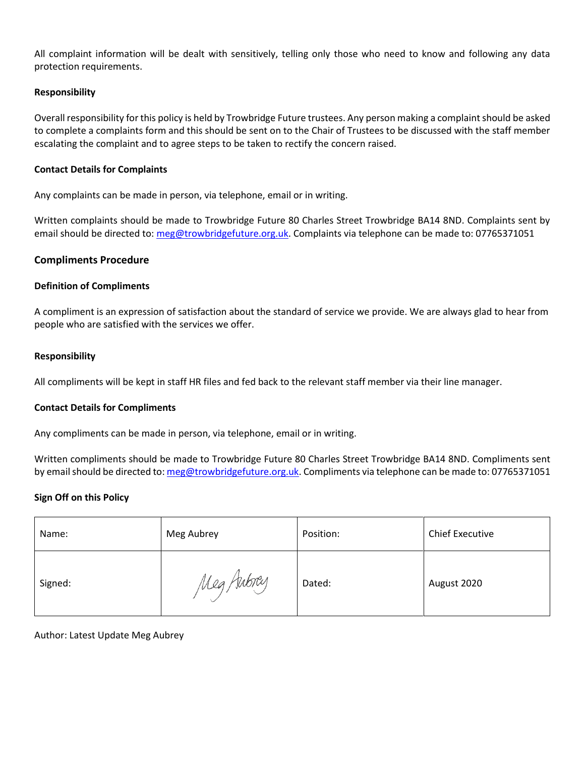All complaint information will be dealt with sensitively, telling only those who need to know and following any data protection requirements.

#### **Responsibility**

Overall responsibility for this policy is held by Trowbridge Future trustees. Any person making a complaint should be asked to complete a complaints form and this should be sent on to the Chair of Trustees to be discussed with the staff member escalating the complaint and to agree steps to be taken to rectify the concern raised.

#### **Contact Details for Complaints**

Any complaints can be made in person, via telephone, email or in writing.

Written complaints should be made to Trowbridge Future 80 Charles Street Trowbridge BA14 8ND. Complaints sent by email should be directed to: [meg@trowbridgefuture.org.uk.](mailto:meg@trowbridgefuture.org.uk) Complaints via telephone can be made to: 07765371051

#### **Compliments Procedure**

#### **Definition of Compliments**

A compliment is an expression of satisfaction about the standard of service we provide. We are always glad to hear from people who are satisfied with the services we offer.

#### **Responsibility**

All compliments will be kept in staff HR files and fed back to the relevant staff member via their line manager.

#### **Contact Details for Compliments**

Any compliments can be made in person, via telephone, email or in writing.

Written compliments should be made to Trowbridge Future 80 Charles Street Trowbridge BA14 8ND. Compliments sent by email should be directed to[: meg@trowbridgefuture.org.uk.](mailto:meg@trowbridgefuture.org.uk) Compliments via telephone can be made to: 07765371051

#### **Sign Off on this Policy**

| Name:   | Meg Aubrey | Position: | <b>Chief Executive</b> |
|---------|------------|-----------|------------------------|
| Signed: | Meg Aubrey | Dated:    | August 2020            |

#### Author: Latest Update Meg Aubrey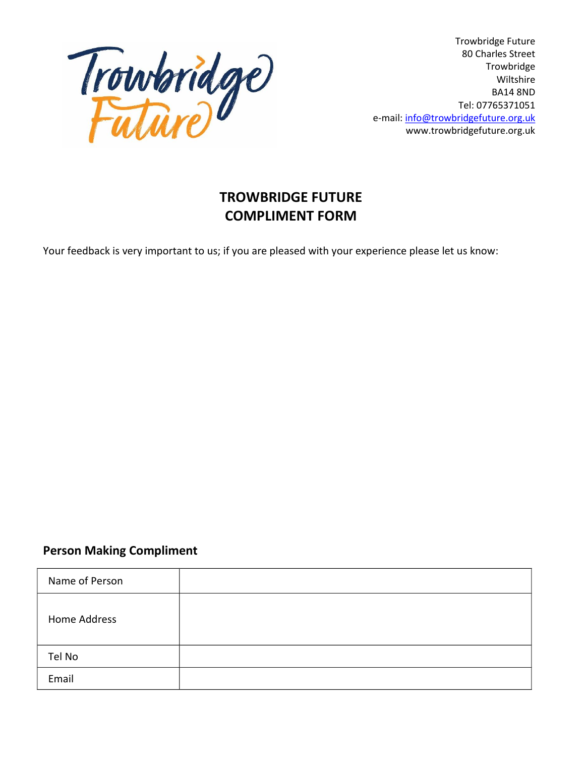

Trowbridge Future 80 Charles Street Trowbridge Wiltshire BA14 8ND Tel: 07765371051 e-mail: info@trowbridgefuture.org.uk www.trowbridgefuture.org.uk

# **TROWBRIDGE FUTURE COMPLIMENT FORM**

Your feedback is very important to us; if you are pleased with your experience please let us know:

### **Person Making Compliment**

| Name of Person |  |
|----------------|--|
| Home Address   |  |
| Tel No         |  |
| Email          |  |